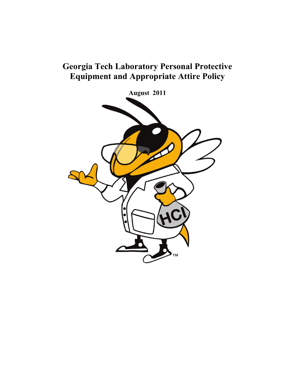# **Georgia Tech Laboratory Personal Protective Equipment and Appropriate Attire Policy**

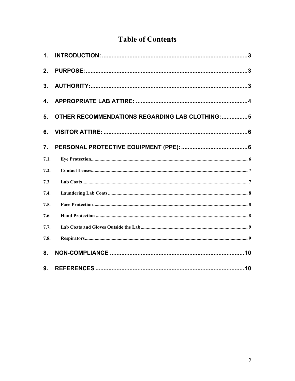# **Table of Contents**

| $\mathbf 1$ .    |                                                 |
|------------------|-------------------------------------------------|
| 2.               |                                                 |
| 3 <sub>1</sub>   |                                                 |
| 4.               |                                                 |
| 5.               | OTHER RECOMMENDATIONS REGARDING LAB CLOTHING: 5 |
| 6.               |                                                 |
| $\overline{7}$ . |                                                 |
| 7.1.             |                                                 |
| 7.2.             |                                                 |
| 7.3.             |                                                 |
| 7.4.             |                                                 |
| 7.5.             |                                                 |
| 7.6.             |                                                 |
| 7.7.             |                                                 |
| 7.8.             |                                                 |
| 8.               |                                                 |
| 9.               |                                                 |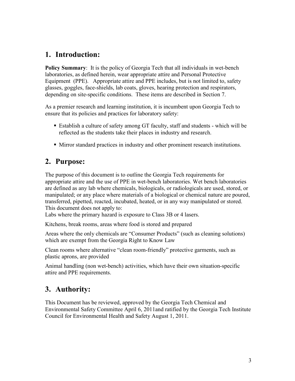## <span id="page-2-0"></span>**1. Introduction:**

**Policy Summary**: It is the policy of Georgia Tech that all individuals in wet-bench laboratories, as defined herein, wear appropriate attire and Personal Protective Equipment (PPE). Appropriate attire and PPE includes, but is not limited to, safety glasses, goggles, face-shields, lab coats, gloves, hearing protection and respirators, depending on site-specific conditions. These items are described in Section 7.

As a premier research and learning institution, it is incumbent upon Georgia Tech to ensure that its policies and practices for laboratory safety:

- Establish a culture of safety among GT faculty, staff and students which will be reflected as the students take their places in industry and research.
- Mirror standard practices in industry and other prominent research institutions.

## <span id="page-2-1"></span>**2. Purpose:**

The purpose of this document is to outline the Georgia Tech requirements for appropriate attire and the use of PPE in wet-bench laboratories. Wet bench laboratories are defined as any lab where chemicals, biologicals, or radiologicals are used, stored, or manipulated; or any place where materials of a biological or chemical nature are poured, transferred, pipetted, reacted, incubated, heated, or in any way manipulated or stored. This document does not apply to:

Labs where the primary hazard is exposure to Class 3B or 4 lasers.

Kitchens, break rooms, areas where food is stored and prepared

Areas where the only chemicals are "Consumer Products" (such as cleaning solutions) which are exempt from the Georgia Right to Know Law

Clean rooms where alternative "clean room-friendly" protective garments, such as plastic aprons, are provided

Animal handling (non wet-bench) activities, which have their own situation-specific attire and PPE requirements.

# <span id="page-2-2"></span>**3. Authority:**

This Document has be reviewed, approved by the Georgia Tech Chemical and Environmental Safety Committee April 6, 2011and ratified by the Georgia Tech Institute Council for Environmental Health and Safety August 1, 2011.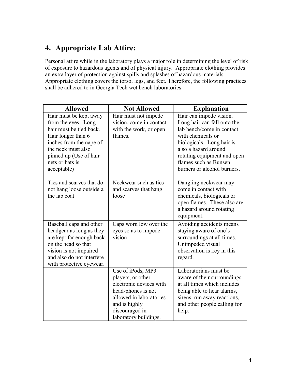# <span id="page-3-0"></span>**4. Appropriate Lab Attire:**

Personal attire while in the laboratory plays a major role in determining the level of risk of exposure to hazardous agents and of physical injury. Appropriate clothing provides an extra layer of protection against spills and splashes of hazardous materials. Appropriate clothing covers the torso, legs, and feet. Therefore, the following practices shall be adhered to in Georgia Tech wet bench laboratories:

| <b>Allowed</b>                                                                                                                                                                                              | <b>Not Allowed</b>                                                                                                                                                             | <b>Explanation</b>                                                                                                                                                                                                                                   |
|-------------------------------------------------------------------------------------------------------------------------------------------------------------------------------------------------------------|--------------------------------------------------------------------------------------------------------------------------------------------------------------------------------|------------------------------------------------------------------------------------------------------------------------------------------------------------------------------------------------------------------------------------------------------|
| Hair must be kept away<br>from the eyes. Long<br>hair must be tied back.<br>Hair longer than 6<br>inches from the nape of<br>the neck must also<br>pinned up (Use of hair<br>nets or hats is<br>acceptable) | Hair must not impede<br>vision, come in contact<br>with the work, or open<br>flames.                                                                                           | Hair can impede vision.<br>Long hair can fall onto the<br>lab bench/come in contact<br>with chemicals or<br>biologicals. Long hair is<br>also a hazard around<br>rotating equipment and open<br>flames such as Bunsen<br>burners or alcohol burners. |
| Ties and scarves that do<br>not hang loose outside a<br>the lab coat                                                                                                                                        | Neckwear such as ties<br>and scarves that hang<br>loose                                                                                                                        | Dangling neckwear may<br>come in contact with<br>chemicals, biologicals or<br>open flames. These also are<br>a hazard around rotating<br>equipment.                                                                                                  |
| Baseball caps and other<br>headgear as long as they<br>are kept far enough back<br>on the head so that<br>vision is not impaired<br>and also do not interfere<br>with protective eyewear.                   | Caps worn low over the<br>eyes so as to impede<br>vision                                                                                                                       | Avoiding accidents means<br>staying aware of one's<br>surroundings at all times.<br>Unimpeded visual<br>observation is key in this<br>regard.                                                                                                        |
|                                                                                                                                                                                                             | Use of iPods, MP3<br>players, or other<br>electronic devices with<br>head-phones is not<br>allowed in laboratories<br>and is highly<br>discouraged in<br>laboratory buildings. | Laboratorians must be<br>aware of their surroundings<br>at all times which includes<br>being able to hear alarms,<br>sirens, run away reactions,<br>and other people calling for<br>help.                                                            |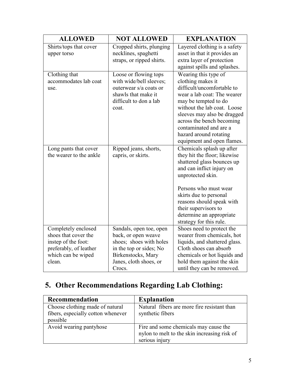| <b>ALLOWED</b>                                                                                                               | <b>NOT ALLOWED</b>                                                                                                                                             | <b>EXPLANATION</b>                                                                                                                                                                                                                                                                                          |
|------------------------------------------------------------------------------------------------------------------------------|----------------------------------------------------------------------------------------------------------------------------------------------------------------|-------------------------------------------------------------------------------------------------------------------------------------------------------------------------------------------------------------------------------------------------------------------------------------------------------------|
| Shirts/tops that cover<br>upper torso                                                                                        | Cropped shirts, plunging<br>necklines, spaghetti<br>straps, or ripped shirts.                                                                                  | Layered clothing is a safety<br>asset in that it provides an<br>extra layer of protection<br>against spills and splashes.                                                                                                                                                                                   |
| Clothing that<br>accommodates lab coat<br>use.                                                                               | Loose or flowing tops<br>with wide/bell sleeves;<br>outerwear s/a coats or<br>shawls that make it<br>difficult to don a lab<br>coat.                           | Wearing this type of<br>clothing makes it<br>difficult/uncomfortable to<br>wear a lab coat: The wearer<br>may be tempted to do<br>without the lab coat. Loose<br>sleeves may also be dragged<br>across the bench becoming<br>contaminated and are a<br>hazard around rotating<br>equipment and open flames. |
| Long pants that cover<br>the wearer to the ankle                                                                             | Ripped jeans, shorts,<br>capris, or skirts.                                                                                                                    | Chemicals splash up after<br>they hit the floor; likewise<br>shattered glass bounces up<br>and can inflict injury on<br>unprotected skin.<br>Persons who must wear<br>skirts due to personal<br>reasons should speak with<br>their supervisors to<br>determine an appropriate<br>strategy for this rule.    |
| Completely enclosed<br>shoes that cover the<br>instep of the foot:<br>preferably, of leather<br>which can be wiped<br>clean. | Sandals, open toe, open<br>back, or open weave<br>shoes; shoes with holes<br>in the top or sides; No<br>Birkenstocks, Mary<br>Janes, cloth shoes, or<br>Crocs. | Shoes need to protect the<br>wearer from chemicals, hot<br>liquids, and shattered glass.<br>Cloth shoes can absorb<br>chemicals or hot liquids and<br>hold them against the skin<br>until they can be removed.                                                                                              |

# <span id="page-4-0"></span>**5. Other Recommendations Regarding Lab Clothing:**

| Recommendation                                                                    | <b>Explanation</b>                                                                                      |
|-----------------------------------------------------------------------------------|---------------------------------------------------------------------------------------------------------|
| Choose clothing made of natural<br>fibers, especially cotton whenever<br>possible | Natural fibers are more fire resistant than<br>synthetic fibers                                         |
| Avoid wearing pantyhose                                                           | Fire and some chemicals may cause the<br>nylon to melt to the skin increasing risk of<br>serious injury |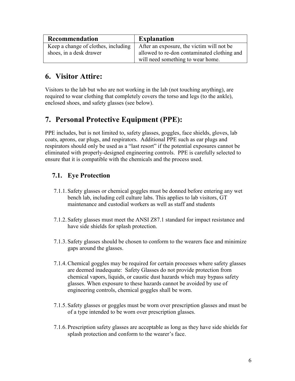| Recommendation                      | <b>Explanation</b>                          |
|-------------------------------------|---------------------------------------------|
| Keep a change of clothes, including | After an exposure, the victim will not be   |
| shoes, in a desk drawer             | allowed to re-don contaminated clothing and |
|                                     | will need something to wear home.           |

## <span id="page-5-0"></span>**6. Visitor Attire:**

Visitors to the lab but who are not working in the lab (not touching anything), are required to wear clothing that completely covers the torso and legs (to the ankle), enclosed shoes, and safety glasses (see below).

# <span id="page-5-1"></span>**7. Personal Protective Equipment (PPE):**

PPE includes, but is not limited to, safety glasses, goggles, face shields, gloves, lab coats, aprons, ear plugs, and respirators. Additional PPE such as ear plugs and respirators should only be used as a "last resort" if the potential exposures cannot be eliminated with properly-designed engineering controls. PPE is carefully selected to ensure that it is compatible with the chemicals and the process used.

## <span id="page-5-2"></span>**7.1. Eye Protection**

- 7.1.1. Safety glasses or chemical goggles must be donned before entering any wet bench lab, including cell culture labs. This applies to lab visitors, GT maintenance and custodial workers as well as staff and students
- 7.1.2. Safety glasses must meet the ANSI Z87.1 standard for impact resistance and have side shields for splash protection.
- 7.1.3. Safety glasses should be chosen to conform to the wearers face and minimize gaps around the glasses.
- 7.1.4.Chemical goggles may be required for certain processes where safety glasses are deemed inadequate: Safety Glasses do not provide protection from chemical vapors, liquids, or caustic dust hazards which may bypass safety glasses. When exposure to these hazards cannot be avoided by use of engineering controls, chemical goggles shall be worn.
- 7.1.5. Safety glasses or goggles must be worn over prescription glasses and must be of a type intended to be worn over prescription glasses.
- 7.1.6. Prescription safety glasses are acceptable as long as they have side shields for splash protection and conform to the wearer's face.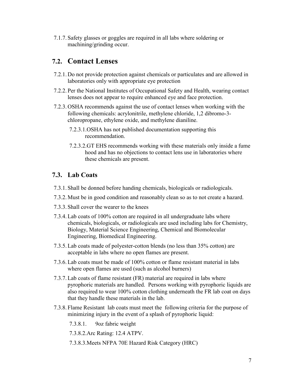7.1.7. Safety glasses or goggles are required in all labs where soldering or machining/grinding occur.

## <span id="page-6-0"></span>**7.2. Contact Lenses**

- 7.2.1. Do not provide protection against chemicals or particulates and are allowed in laboratories only with appropriate eye protection
- 7.2.2. Per the National Institutes of Occupational Safety and Health, wearing contact lenses does not appear to require enhanced eye and face protection.
- 7.2.3. OSHA recommends against the use of contact lenses when working with the following chemicals: acrylonitrile, methylene chloride, 1,2 dibromo-3 chloropropane, ethylene oxide, and methylene dianiline.
	- 7.2.3.1.OSHA has not published documentation supporting this recommendation.
	- 7.2.3.2.GT EHS recommends working with these materials only inside a fume hood and has no objections to contact lens use in laboratories where these chemicals are present.

### <span id="page-6-1"></span>**7.3. Lab Coats**

- 7.3.1. Shall be donned before handing chemicals, biologicals or radiologicals.
- 7.3.2. Must be in good condition and reasonably clean so as to not create a hazard.
- 7.3.3. Shall cover the wearer to the knees
- 7.3.4.Lab coats of 100% cotton are required in all undergraduate labs where chemicals, biologicals, or radiologicals are used including labs for Chemistry, Biology, Material Science Engineering, Chemical and Biomolecular Engineering, Biomedical Engineering.
- 7.3.5.Lab coats made of polyester-cotton blends (no less than 35% cotton) are acceptable in labs where no open flames are present.
- 7.3.6.Lab coats must be made of 100% cotton or flame resistant material in labs where open flames are used (such as alcohol burners)
- 7.3.7.Lab coats of flame resistant (FR) material are required in labs where pyrophoric materials are handled. Persons working with pyrophoric liquids are also required to wear 100% cotton clothing underneath the FR lab coat on days that they handle these materials in the lab.
- 7.3.8. Flame Resistant lab coats must meet the following criteria for the purpose of minimizing injury in the event of a splash of pyrophoric liquid:
	- 7.3.8.1. 9oz fabric weight
	- 7.3.8.2.Arc Rating: 12.4 ATPV.
	- 7.3.8.3.Meets NFPA 70E Hazard Risk Category (HRC)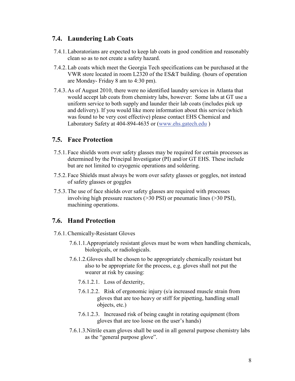## <span id="page-7-0"></span>**7.4. Laundering Lab Coats**

- 7.4.1.Laboratorians are expected to keep lab coats in good condition and reasonably clean so as to not create a safety hazard.
- 7.4.2.Lab coats which meet the Georgia Tech specifications can be purchased at the VWR store located in room L2320 of the ES&T building. (hours of operation are Monday- Friday 8 am to 4:30 pm).
- 7.4.3. As of August 2010, there were no identified laundry services in Atlanta that would accept lab coats from chemistry labs, however: Some labs at GT use a uniform service to both supply and launder their lab coats (includes pick up and delivery). If you would like more information about this service (which was found to be very cost effective) please contact EHS Chemical and Laboratory Safety at 404-894-4635 or [\(www.ehs.gatech.edu](http://www.ehs.gatech.edu/) )

### <span id="page-7-1"></span>**7.5. Face Protection**

- 7.5.1. Face shields worn over safety glasses may be required for certain processes as determined by the Principal Investigator (PI) and/or GT EHS. These include but are not limited to cryogenic operations and soldering.
- 7.5.2. Face Shields must always be worn over safety glasses or goggles, not instead of safety glasses or goggles
- 7.5.3.The use of face shields over safety glasses are required with processes involving high pressure reactors (>30 PSI) or pneumatic lines (>30 PSI), machining operations.

### <span id="page-7-2"></span>**7.6. Hand Protection**

- 7.6.1.Chemically-Resistant Gloves
	- 7.6.1.1.Appropriately resistant gloves must be worn when handling chemicals, biologicals, or radiologicals.
	- 7.6.1.2.Gloves shall be chosen to be appropriately chemically resistant but also to be appropriate for the process, e.g. gloves shall not put the wearer at risk by causing:
		- 7.6.1.2.1. Loss of dexterity,
		- 7.6.1.2.2. Risk of ergonomic injury (s/a increased muscle strain from gloves that are too heavy or stiff for pipetting, handling small objects, etc.)
		- 7.6.1.2.3. Increased risk of being caught in rotating equipment (from gloves that are too loose on the user's hands)
	- 7.6.1.3.Nitrile exam gloves shall be used in all general purpose chemistry labs as the "general purpose glove".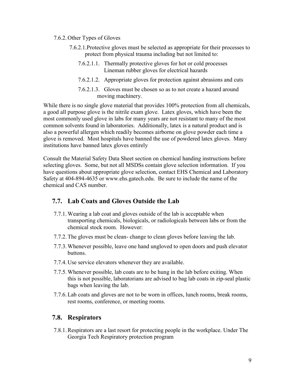#### 7.6.2. Other Types of Gloves

- 7.6.2.1.Protective gloves must be selected as appropriate for their processes to protect from physical trauma including but not limited to:
	- 7.6.2.1.1. Thermally protective gloves for hot or cold processes Lineman rubber gloves for electrical hazards
	- 7.6.2.1.2. Appropriate gloves for protection against abrasions and cuts
	- 7.6.2.1.3. Gloves must be chosen so as to not create a hazard around moving machinery.

While there is no single glove material that provides 100% protection from all chemicals, a good all purpose glove is the nitrile exam glove. Latex gloves, which have been the most commonly used glove in labs for many years are not resistant to many of the most common solvents found in laboratories. Additionally, latex is a natural product and is also a powerful allergen which readily becomes airborne on glove powder each time a glove is removed. Most hospitals have banned the use of powdered latex gloves. Many institutions have banned latex gloves entirely

Consult the Material Safety Data Sheet section on chemical handing instructions before selecting gloves. Some, but not all MSDSs contain glove selection information. If you have questions about appropriate glove selection, contact EHS Chemical and Laboratory Safety at 404-894-4635 or www.ehs.gatech.edu. Be sure to include the name of the chemical and CAS number.

### <span id="page-8-0"></span>**7.7. Lab Coats and Gloves Outside the Lab**

- 7.7.1.Wearing a lab coat and gloves outside of the lab is acceptable when transporting chemicals, biologicals, or radiologicals between labs or from the chemical stock room. However:
- 7.7.2.The gloves must be clean- change to clean gloves before leaving the lab.
- 7.7.3.Whenever possible, leave one hand ungloved to open doors and push elevator buttons.
- 7.7.4. Use service elevators whenever they are available.
- 7.7.5.Whenever possible, lab coats are to be hung in the lab before exiting. When this is not possible, laboratorians are advised to bag lab coats in zip-seal plastic bags when leaving the lab.
- 7.7.6.Lab coats and gloves are not to be worn in offices, lunch rooms, break rooms, rest rooms, conference, or meeting rooms.

### <span id="page-8-1"></span>**7.8. Respirators**

7.8.1.Respirators are a last resort for protecting people in the workplace. Under The Georgia Tech Respiratory protection program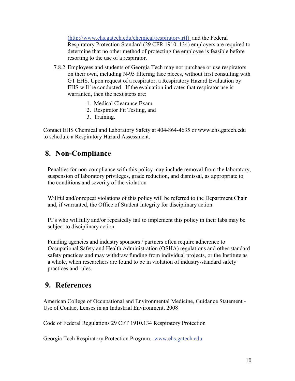(http://www.ehs.gatech.edu/chemical/respiratory.rtf) and the Federal Respiratory Protection Standard (29 CFR 1910. 134) employers are required to determine that no other method of protecting the employee is feasible before resorting to the use of a respirator.

- 7.8.2.Employees and students of Georgia Tech may not purchase or use respirators on their own, including N-95 filtering face pieces, without first consulting with GT EHS. Upon request of a respirator, a Respiratory Hazard Evaluation by EHS will be conducted. If the evaluation indicates that respirator use is warranted, then the next steps are:
	- 1. Medical Clearance Exam
	- 2. Respirator Fit Testing, and
	- 3. Training.

Contact EHS Chemical and Laboratory Safety at 404-864-4635 or www.ehs.gatech.edu to schedule a Respiratory Hazard Assessment.

## <span id="page-9-0"></span>**8. Non-Compliance**

Penalties for non-compliance with this policy may include removal from the laboratory, suspension of laboratory privileges, grade reduction, and dismissal, as appropriate to the conditions and severity of the violation

Willful and/or repeat violations of this policy will be referred to the Department Chair and, if warranted, the Office of Student Integrity for disciplinary action.

PI's who willfully and/or repeatedly fail to implement this policy in their labs may be subject to disciplinary action.

Funding agencies and industry sponsors / partners often require adherence to Occupational Safety and Health Administration (OSHA) regulations and other standard safety practices and may withdraw funding from individual projects, or the Institute as a whole, when researchers are found to be in violation of industry-standard safety practices and rules.

## <span id="page-9-1"></span>**9. References**

American College of Occupational and Environmental Medicine, Guidance Statement - Use of Contact Lenses in an Industrial Environment, 2008

Code of Federal Regulations 29 CFT 1910.134 Respiratory Protection

Georgia Tech Respiratory Protection Program, www.ehs.gatech.edu